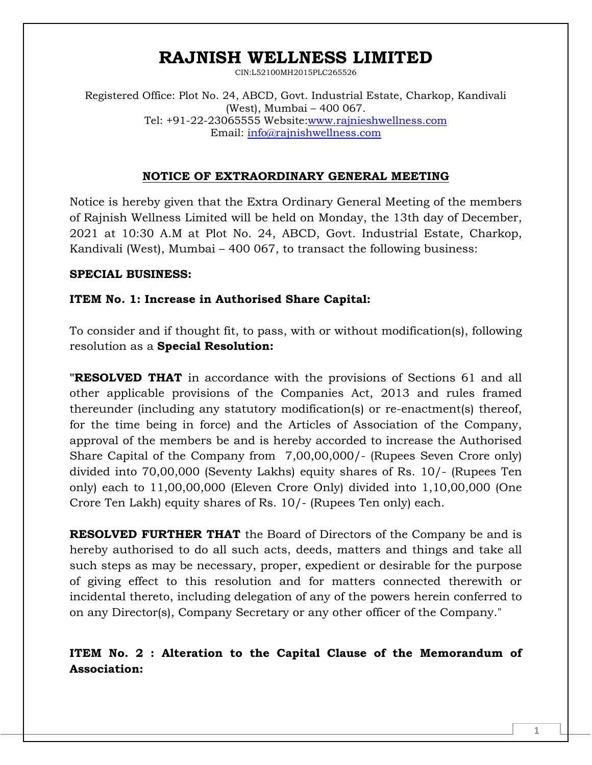CIN:L52100MH2015PLC265526

Registered Office: Plot No. 24, ABCD, Govt. Industrial Estate, Charkop, Kandivali (West), Mumbai – 400 067. Tel: +91-22-23065555 Website[:www.rajnieshwellness.com](http://www.rajnieshwellness.com/) Email: [info@rajnishwellness.com](mailto:info@rajnishwellness.com)

#### **NOTICE OF EXTRAORDINARY GENERAL MEETING**

Notice is hereby given that the Extra Ordinary General Meeting of the members of Rajnish Wellness Limited will be held on Monday, the 13th day of December, 2021 at 10:30 A.M at Plot No. 24, ABCD, Govt. Industrial Estate, Charkop, Kandivali (West), Mumbai – 400 067, to transact the following business:

#### **SPECIAL BUSINESS:**

#### **ITEM No. 1: Increase in Authorised Share Capital:**

To consider and if thought fit, to pass, with or without modification(s), following resolution as a **Special Resolution:**

**"RESOLVED THAT** in accordance with the provisions of Sections 61 and all other applicable provisions of the Companies Act, 2013 and rules framed thereunder (including any statutory modification(s) or re-enactment(s) thereof, for the time being in force) and the Articles of Association of the Company, approval of the members be and is hereby accorded to increase the Authorised Share Capital of the Company from 7,00,00,000/- (Rupees Seven Crore only) divided into 70,00,000 (Seventy Lakhs) equity shares of Rs. 10/- (Rupees Ten only) each to 11,00,00,000 (Eleven Crore Only) divided into 1,10,00,000 (One Crore Ten Lakh) equity shares of Rs. 10/- (Rupees Ten only) each.

**RESOLVED FURTHER THAT** the Board of Directors of the Company be and is hereby authorised to do all such acts, deeds, matters and things and take all such steps as may be necessary, proper, expedient or desirable for the purpose of giving effect to this resolution and for matters connected therewith or incidental thereto, including delegation of any of the powers herein conferred to on any Director(s), Company Secretary or any other officer of the Company."

**ITEM No. 2 : Alteration to the Capital Clause of the Memorandum of Association:**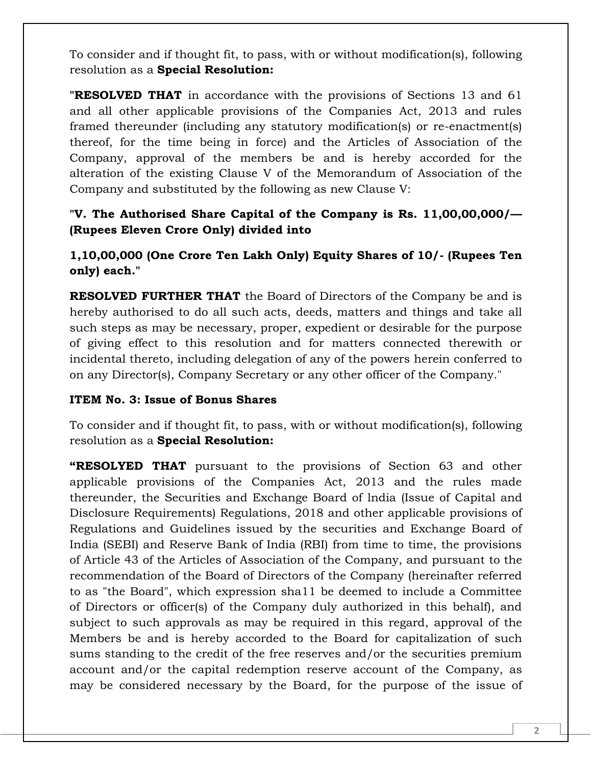To consider and if thought fit, to pass, with or without modification(s), following resolution as a **Special Resolution:**

**"RESOLVED THAT** in accordance with the provisions of Sections 13 and 61 and all other applicable provisions of the Companies Act, 2013 and rules framed thereunder (including any statutory modification(s) or re-enactment(s) thereof, for the time being in force) and the Articles of Association of the Company, approval of the members be and is hereby accorded for the alteration of the existing Clause V of the Memorandum of Association of the Company and substituted by the following as new Clause V:

### **"V. The Authorised Share Capital of the Company is Rs. 11,00,00,000/— (Rupees Eleven Crore Only) divided into**

**1,10,00,000 (One Crore Ten Lakh Only) Equity Shares of 10/- (Rupees Ten only) each."**

**RESOLVED FURTHER THAT** the Board of Directors of the Company be and is hereby authorised to do all such acts, deeds, matters and things and take all such steps as may be necessary, proper, expedient or desirable for the purpose of giving effect to this resolution and for matters connected therewith or incidental thereto, including delegation of any of the powers herein conferred to on any Director(s), Company Secretary or any other officer of the Company."

#### **ITEM No. 3: Issue of Bonus Shares**

To consider and if thought fit, to pass, with or without modification(s), following resolution as a **Special Resolution:**

**"RESOLYED THAT** pursuant to the provisions of Section 63 and other applicable provisions of the Companies Act, 2013 and the rules made thereunder, the Securities and Exchange Board of lndia (Issue of Capital and Disclosure Requirements) Regulations, 2018 and other applicable provisions of Regulations and Guidelines issued by the securities and Exchange Board of India (SEBI) and Reserve Bank of India (RBI) from time to time, the provisions of Article 43 of the Articles of Association of the Company, and pursuant to the recommendation of the Board of Directors of the Company (hereinafter referred to as "the Board", which expression sha11 be deemed to include a Committee of Directors or officer(s) of the Company duly authorized in this behalf), and subject to such approvals as may be required in this regard, approval of the Members be and is hereby accorded to the Board for capitalization of such sums standing to the credit of the free reserves and/or the securities premium account and/or the capital redemption reserve account of the Company, as may be considered necessary by the Board, for the purpose of the issue of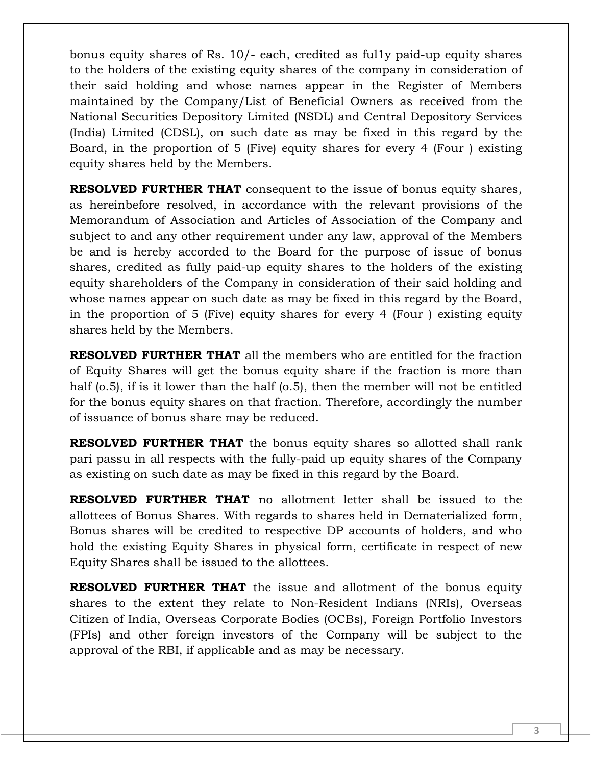bonus equity shares of Rs. 10/- each, credited as ful1y paid-up equity shares to the holders of the existing equity shares of the company in consideration of their said holding and whose names appear in the Register of Members maintained by the Company/List of Beneficial Owners as received from the National Securities Depository Limited (NSDL) and Central Depository Services (India) Limited (CDSL), on such date as may be fixed in this regard by the Board, in the proportion of 5 (Five) equity shares for every 4 (Four ) existing equity shares held by the Members.

**RESOLVED FURTHER THAT** consequent to the issue of bonus equity shares, as hereinbefore resolved, in accordance with the relevant provisions of the Memorandum of Association and Articles of Association of the Company and subject to and any other requirement under any law, approval of the Members be and is hereby accorded to the Board for the purpose of issue of bonus shares, credited as fully paid-up equity shares to the holders of the existing equity shareholders of the Company in consideration of their said holding and whose names appear on such date as may be fixed in this regard by the Board, in the proportion of 5 (Five) equity shares for every 4 (Four ) existing equity shares held by the Members.

**RESOLVED FURTHER THAT** all the members who are entitled for the fraction of Equity Shares will get the bonus equity share if the fraction is more than half (o.5), if is it lower than the half (o.5), then the member will not be entitled for the bonus equity shares on that fraction. Therefore, accordingly the number of issuance of bonus share may be reduced.

**RESOLVED FURTHER THAT** the bonus equity shares so allotted shall rank pari passu in all respects with the fully-paid up equity shares of the Company as existing on such date as may be fixed in this regard by the Board.

**RESOLVED FURTHER THAT** no allotment letter shall be issued to the allottees of Bonus Shares. With regards to shares held in Dematerialized form, Bonus shares will be credited to respective DP accounts of holders, and who hold the existing Equity Shares in physical form, certificate in respect of new Equity Shares shall be issued to the allottees.

**RESOLVED FURTHER THAT** the issue and allotment of the bonus equity shares to the extent they relate to Non-Resident Indians (NRIs), Overseas Citizen of India, Overseas Corporate Bodies (OCBs), Foreign Portfolio Investors (FPIs) and other foreign investors of the Company will be subject to the approval of the RBI, if applicable and as may be necessary.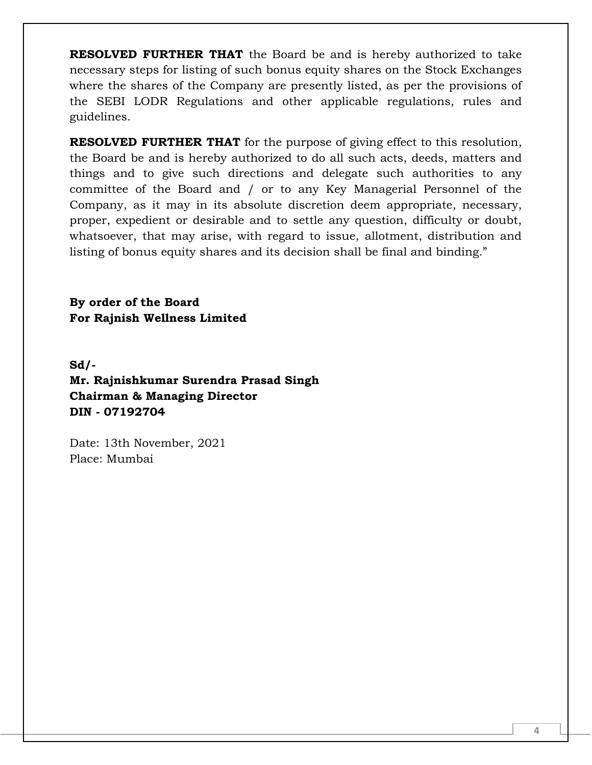**RESOLVED FURTHER THAT** the Board be and is hereby authorized to take necessary steps for listing of such bonus equity shares on the Stock Exchanges where the shares of the Company are presently listed, as per the provisions of the SEBI LODR Regulations and other applicable regulations, rules and guidelines.

**RESOLVED FURTHER THAT** for the purpose of giving effect to this resolution, the Board be and is hereby authorized to do all such acts, deeds, matters and things and to give such directions and delegate such authorities to any committee of the Board and / or to any Key Managerial Personnel of the Company, as it may in its absolute discretion deem appropriate, necessary, proper, expedient or desirable and to settle any question, difficulty or doubt, whatsoever, that may arise, with regard to issue, allotment, distribution and listing of bonus equity shares and its decision shall be final and binding."

**By order of the Board For Rajnish Wellness Limited**

**Sd/- Mr. Rajnishkumar Surendra Prasad Singh Chairman & Managing Director DIN - 07192704**

Date: 13th November, 2021 Place: Mumbai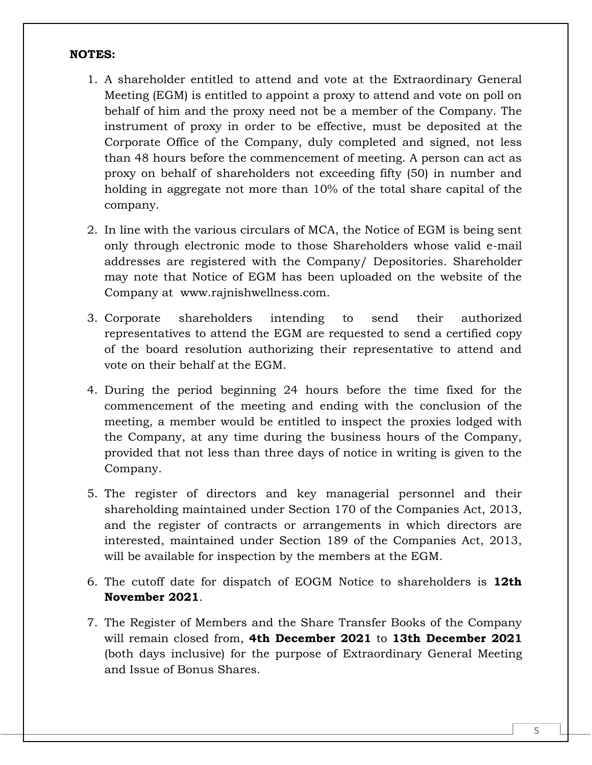#### **NOTES:**

- 1. A shareholder entitled to attend and vote at the Extraordinary General Meeting (EGM) is entitled to appoint a proxy to attend and vote on poll on behalf of him and the proxy need not be a member of the Company. The instrument of proxy in order to be effective, must be deposited at the Corporate Office of the Company, duly completed and signed, not less than 48 hours before the commencement of meeting. A person can act as proxy on behalf of shareholders not exceeding fifty (50) in number and holding in aggregate not more than 10% of the total share capital of the company.
- 2. In line with the various circulars of MCA, the Notice of EGM is being sent only through electronic mode to those Shareholders whose valid e-mail addresses are registered with the Company/ Depositories. Shareholder may note that Notice of EGM has been uploaded on the website of the Company at www.rajnishwellness.com.
- 3. Corporate shareholders intending to send their authorized representatives to attend the EGM are requested to send a certified copy of the board resolution authorizing their representative to attend and vote on their behalf at the EGM.
- 4. During the period beginning 24 hours before the time fixed for the commencement of the meeting and ending with the conclusion of the meeting, a member would be entitled to inspect the proxies lodged with the Company, at any time during the business hours of the Company, provided that not less than three days of notice in writing is given to the Company.
- 5. The register of directors and key managerial personnel and their shareholding maintained under Section 170 of the Companies Act, 2013, and the register of contracts or arrangements in which directors are interested, maintained under Section 189 of the Companies Act, 2013, will be available for inspection by the members at the EGM.
- 6. The cutoff date for dispatch of EOGM Notice to shareholders is **12th November 2021**.
- 7. The Register of Members and the Share Transfer Books of the Company will remain closed from, **4th December 2021** to **13th December 2021** (both days inclusive) for the purpose of Extraordinary General Meeting and Issue of Bonus Shares.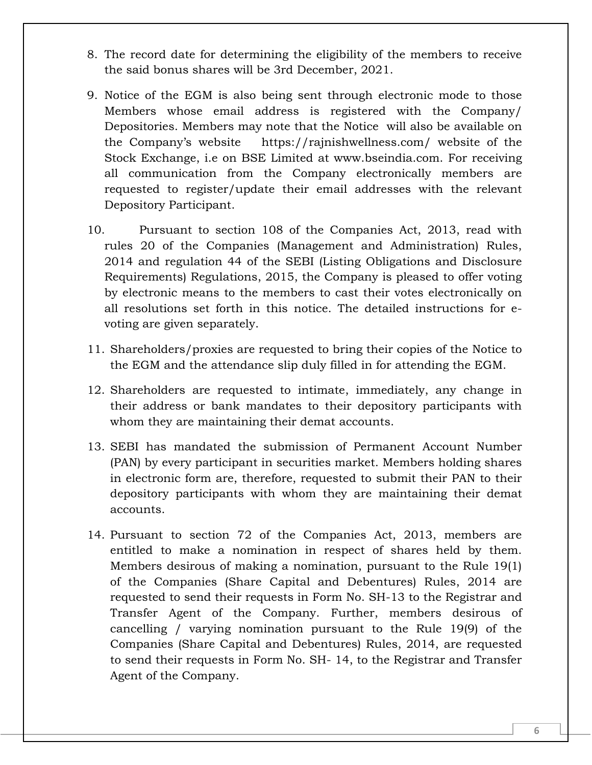- 8. The record date for determining the eligibility of the members to receive the said bonus shares will be 3rd December, 2021.
- 9. Notice of the EGM is also being sent through electronic mode to those Members whose email address is registered with the Company/ Depositories. Members may note that the Notice will also be available on the Company's website https://rajnishwellness.com/ website of the Stock Exchange, i.e on BSE Limited at www.bseindia.com. For receiving all communication from the Company electronically members are requested to register/update their email addresses with the relevant Depository Participant.
- 10. Pursuant to section 108 of the Companies Act, 2013, read with rules 20 of the Companies (Management and Administration) Rules, 2014 and regulation 44 of the SEBI (Listing Obligations and Disclosure Requirements) Regulations, 2015, the Company is pleased to offer voting by electronic means to the members to cast their votes electronically on all resolutions set forth in this notice. The detailed instructions for evoting are given separately.
- 11. Shareholders/proxies are requested to bring their copies of the Notice to the EGM and the attendance slip duly filled in for attending the EGM.
- 12. Shareholders are requested to intimate, immediately, any change in their address or bank mandates to their depository participants with whom they are maintaining their demat accounts.
- 13. SEBI has mandated the submission of Permanent Account Number (PAN) by every participant in securities market. Members holding shares in electronic form are, therefore, requested to submit their PAN to their depository participants with whom they are maintaining their demat accounts.
- 14. Pursuant to section 72 of the Companies Act, 2013, members are entitled to make a nomination in respect of shares held by them. Members desirous of making a nomination, pursuant to the Rule 19(1) of the Companies (Share Capital and Debentures) Rules, 2014 are requested to send their requests in Form No. SH-13 to the Registrar and Transfer Agent of the Company. Further, members desirous of cancelling / varying nomination pursuant to the Rule 19(9) of the Companies (Share Capital and Debentures) Rules, 2014, are requested to send their requests in Form No. SH- 14, to the Registrar and Transfer Agent of the Company.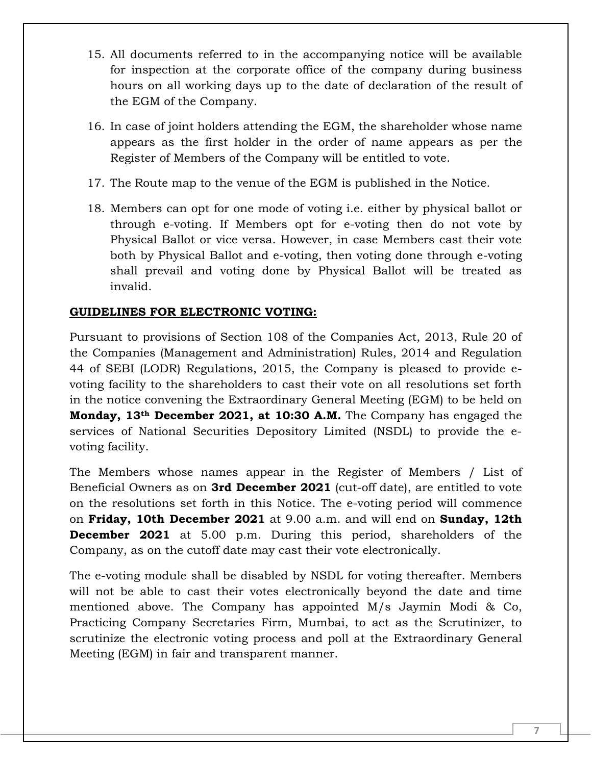- 15. All documents referred to in the accompanying notice will be available for inspection at the corporate office of the company during business hours on all working days up to the date of declaration of the result of the EGM of the Company.
- 16. In case of joint holders attending the EGM, the shareholder whose name appears as the first holder in the order of name appears as per the Register of Members of the Company will be entitled to vote.
- 17. The Route map to the venue of the EGM is published in the Notice.
- 18. Members can opt for one mode of voting i.e. either by physical ballot or through e-voting. If Members opt for e-voting then do not vote by Physical Ballot or vice versa. However, in case Members cast their vote both by Physical Ballot and e-voting, then voting done through e-voting shall prevail and voting done by Physical Ballot will be treated as invalid.

### **GUIDELINES FOR ELECTRONIC VOTING:**

Pursuant to provisions of Section 108 of the Companies Act, 2013, Rule 20 of the Companies (Management and Administration) Rules, 2014 and Regulation 44 of SEBI (LODR) Regulations, 2015, the Company is pleased to provide evoting facility to the shareholders to cast their vote on all resolutions set forth in the notice convening the Extraordinary General Meeting (EGM) to be held on **Monday, 13th December 2021, at 10:30 A.M.** The Company has engaged the services of National Securities Depository Limited (NSDL) to provide the evoting facility.

The Members whose names appear in the Register of Members / List of Beneficial Owners as on **3rd December 2021** (cut-off date), are entitled to vote on the resolutions set forth in this Notice. The e-voting period will commence on **Friday, 10th December 2021** at 9.00 a.m. and will end on **Sunday, 12th December 2021** at 5.00 p.m. During this period, shareholders of the Company, as on the cutoff date may cast their vote electronically.

The e-voting module shall be disabled by NSDL for voting thereafter. Members will not be able to cast their votes electronically beyond the date and time mentioned above. The Company has appointed M/s Jaymin Modi & Co, Practicing Company Secretaries Firm, Mumbai, to act as the Scrutinizer, to scrutinize the electronic voting process and poll at the Extraordinary General Meeting (EGM) in fair and transparent manner.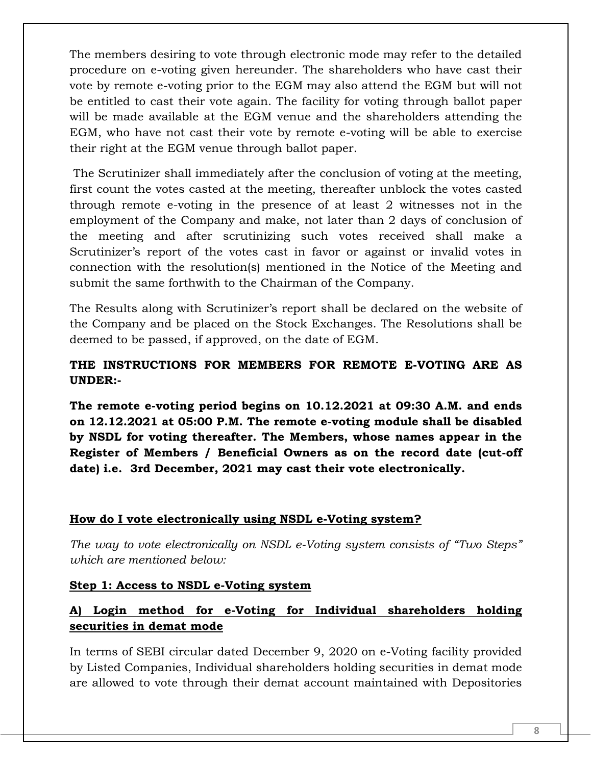The members desiring to vote through electronic mode may refer to the detailed procedure on e-voting given hereunder. The shareholders who have cast their vote by remote e-voting prior to the EGM may also attend the EGM but will not be entitled to cast their vote again. The facility for voting through ballot paper will be made available at the EGM venue and the shareholders attending the EGM, who have not cast their vote by remote e-voting will be able to exercise their right at the EGM venue through ballot paper.

The Scrutinizer shall immediately after the conclusion of voting at the meeting, first count the votes casted at the meeting, thereafter unblock the votes casted through remote e-voting in the presence of at least 2 witnesses not in the employment of the Company and make, not later than 2 days of conclusion of the meeting and after scrutinizing such votes received shall make a Scrutinizer's report of the votes cast in favor or against or invalid votes in connection with the resolution(s) mentioned in the Notice of the Meeting and submit the same forthwith to the Chairman of the Company.

The Results along with Scrutinizer's report shall be declared on the website of the Company and be placed on the Stock Exchanges. The Resolutions shall be deemed to be passed, if approved, on the date of EGM.

# **THE INSTRUCTIONS FOR MEMBERS FOR REMOTE E-VOTING ARE AS UNDER:-**

**The remote e-voting period begins on 10.12.2021 at 09:30 A.M. and ends on 12.12.2021 at 05:00 P.M. The remote e-voting module shall be disabled by NSDL for voting thereafter. The Members, whose names appear in the Register of Members / Beneficial Owners as on the record date (cut-off date) i.e. 3rd December, 2021 may cast their vote electronically.** 

#### **How do I vote electronically using NSDL e-Voting system?**

*The way to vote electronically on NSDL e-Voting system consists of "Two Steps" which are mentioned below:*

#### **Step 1: Access to NSDL e-Voting system**

# **A) Login method for e-Voting for Individual shareholders holding securities in demat mode**

In terms of SEBI circular dated December 9, 2020 on e-Voting facility provided by Listed Companies, Individual shareholders holding securities in demat mode are allowed to vote through their demat account maintained with Depositories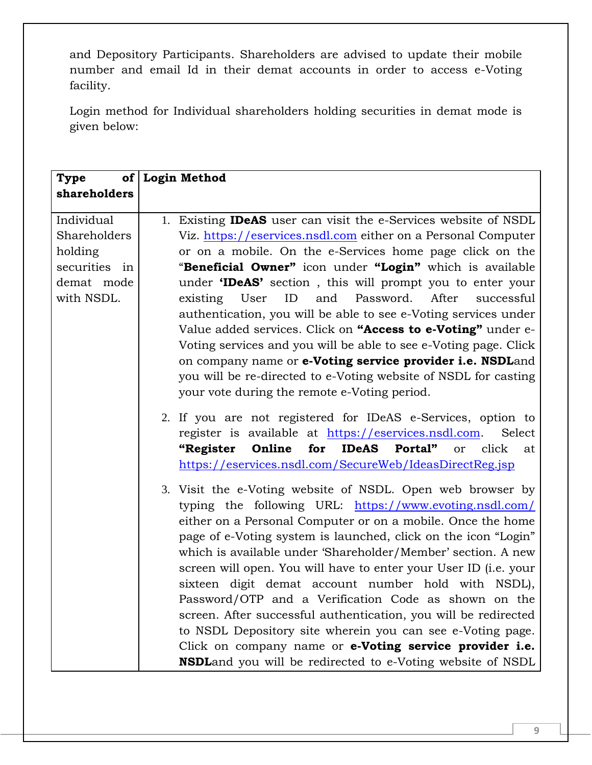and Depository Participants. Shareholders are advised to update their mobile number and email Id in their demat accounts in order to access e-Voting facility.

Login method for Individual shareholders holding securities in demat mode is given below:

| Type                                                   | of Login Method                                                                                                                                                                                                                                                                                                                                                                                                                                                                                                                                                                                                                                                                                                                                                             |
|--------------------------------------------------------|-----------------------------------------------------------------------------------------------------------------------------------------------------------------------------------------------------------------------------------------------------------------------------------------------------------------------------------------------------------------------------------------------------------------------------------------------------------------------------------------------------------------------------------------------------------------------------------------------------------------------------------------------------------------------------------------------------------------------------------------------------------------------------|
| shareholders                                           |                                                                                                                                                                                                                                                                                                                                                                                                                                                                                                                                                                                                                                                                                                                                                                             |
| Individual<br>Shareholders<br>holding<br>securities in | 1. Existing <b>IDeAS</b> user can visit the e-Services website of NSDL<br>Viz. https://eservices.nsdl.com either on a Personal Computer<br>or on a mobile. On the e-Services home page click on the<br>"Beneficial Owner" icon under "Login" which is available                                                                                                                                                                                                                                                                                                                                                                                                                                                                                                             |
| demat mode<br>with NSDL.                               | under 'IDeAS' section, this will prompt you to enter your<br>and<br>Password.<br>After<br>ID<br>successful<br>existing<br>User<br>authentication, you will be able to see e-Voting services under<br>Value added services. Click on "Access to e-Voting" under e-<br>Voting services and you will be able to see e-Voting page. Click<br>on company name or e-Voting service provider i.e. NSDLand<br>you will be re-directed to e-Voting website of NSDL for casting<br>your vote during the remote e-Voting period.                                                                                                                                                                                                                                                       |
|                                                        | 2. If you are not registered for IDeAS e-Services, option to<br>register is available at https://eservices.nsdl.com.<br>Select<br>Online<br>for<br><b>IDeAS</b><br>Portal"<br>click<br>"Register<br><b>or</b><br>at<br>https://eservices.nsdl.com/SecureWeb/IdeasDirectReg.jsp                                                                                                                                                                                                                                                                                                                                                                                                                                                                                              |
|                                                        | 3. Visit the e-Voting website of NSDL. Open web browser by<br>typing the following URL: https://www.evoting.nsdl.com/<br>either on a Personal Computer or on a mobile. Once the home<br>page of e-Voting system is launched, click on the icon "Login"<br>which is available under 'Shareholder/Member' section. A new<br>screen will open. You will have to enter your User ID (i.e. your<br>sixteen digit demat account number hold with NSDL),<br>Password/OTP and a Verification Code as shown on the<br>screen. After successful authentication, you will be redirected<br>to NSDL Depository site wherein you can see e-Voting page.<br>Click on company name or e-Voting service provider i.e.<br><b>NSDL</b> and you will be redirected to e-Voting website of NSDL |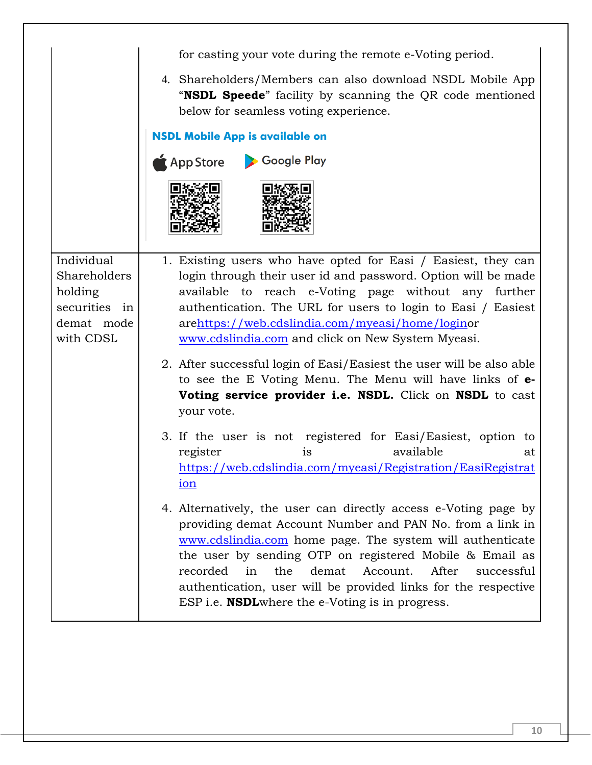|                                                                                   | for casting your vote during the remote e-Voting period.                                                                                                                                                                                                                                                                                                                                                                                               |
|-----------------------------------------------------------------------------------|--------------------------------------------------------------------------------------------------------------------------------------------------------------------------------------------------------------------------------------------------------------------------------------------------------------------------------------------------------------------------------------------------------------------------------------------------------|
|                                                                                   | 4. Shareholders/Members can also download NSDL Mobile App<br>"NSDL Speede" facility by scanning the QR code mentioned<br>below for seamless voting experience.                                                                                                                                                                                                                                                                                         |
|                                                                                   | <b>NSDL Mobile App is available on</b>                                                                                                                                                                                                                                                                                                                                                                                                                 |
|                                                                                   | Google Play<br>$\bigstar$ App Store                                                                                                                                                                                                                                                                                                                                                                                                                    |
|                                                                                   |                                                                                                                                                                                                                                                                                                                                                                                                                                                        |
| Individual<br>Shareholders<br>holding<br>securities in<br>demat mode<br>with CDSL | 1. Existing users who have opted for Easi / Easiest, they can<br>login through their user id and password. Option will be made<br>available to reach e-Voting page without any further<br>authentication. The URL for users to login to Easi / Easiest<br>arehttps://web.cdslindia.com/myeasi/home/loginor<br>www.cdslindia.com and click on New System Myeasi.                                                                                        |
|                                                                                   | 2. After successful login of Easi/Easiest the user will be also able<br>to see the E Voting Menu. The Menu will have links of <b>e</b> -<br>Voting service provider i.e. NSDL. Click on NSDL to cast<br>your vote.                                                                                                                                                                                                                                     |
|                                                                                   | 3. If the user is not registered for Easi/Easiest, option to<br>available<br>register<br>is<br>at<br>https://web.cdslindia.com/myeasi/Registration/EasiRegistrat<br>ion                                                                                                                                                                                                                                                                                |
|                                                                                   | 4. Alternatively, the user can directly access e-Voting page by<br>providing demat Account Number and PAN No. from a link in<br>www.cdslindia.com home page. The system will authenticate<br>the user by sending OTP on registered Mobile & Email as<br>recorded<br>demat<br>Account.<br>After<br>in<br>the<br>successful<br>authentication, user will be provided links for the respective<br>ESP i.e. <b>NSDL</b> where the e-Voting is in progress. |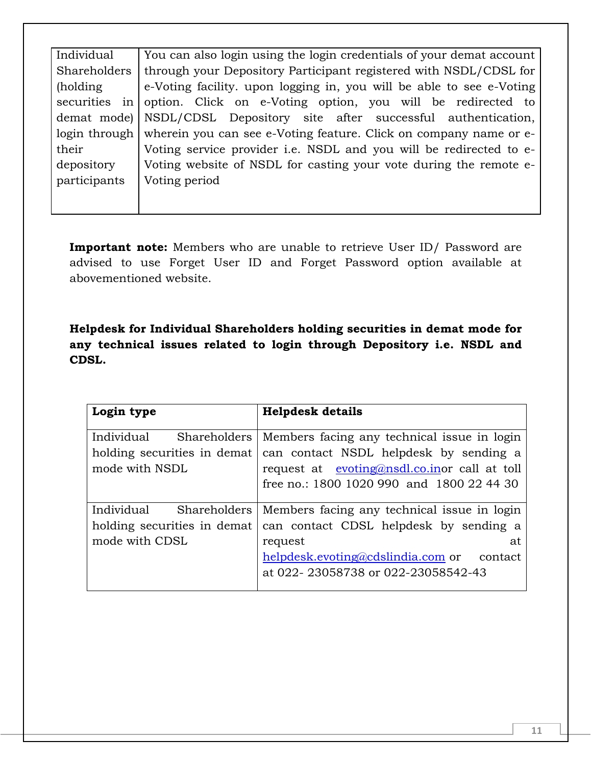| Individual   | You can also login using the login credentials of your demat account            |
|--------------|---------------------------------------------------------------------------------|
| Shareholders | through your Depository Participant registered with NSDL/CDSL for               |
| (holding)    | e-Voting facility. upon logging in, you will be able to see e-Voting            |
|              | securities in option. Click on e-Voting option, you will be redirected to       |
|              | demat mode)   NSDL/CDSL Depository site after successful authentication,        |
|              | login through wherein you can see e-Voting feature. Click on company name or e- |
| their        | Voting service provider i.e. NSDL and you will be redirected to e-              |
| depository   | Voting website of NSDL for casting your vote during the remote e-               |
| participants | Voting period                                                                   |
|              |                                                                                 |

**Important note:** Members who are unable to retrieve User ID/ Password are advised to use Forget User ID and Forget Password option available at abovementioned website.

**Helpdesk for Individual Shareholders holding securities in demat mode for any technical issues related to login through Depository i.e. NSDL and CDSL.**

| Login type                                                  | <b>Helpdesk details</b>                                                                                                                                                                           |
|-------------------------------------------------------------|---------------------------------------------------------------------------------------------------------------------------------------------------------------------------------------------------|
| Individual<br>holding securities in demat<br>mode with NSDL | Shareholders   Members facing any technical issue in login<br>can contact NSDL helpdesk by sending a<br>request at evoting@nsdl.co.inor call at toll<br>free no.: 1800 1020 990 and 1800 22 44 30 |
| Individual<br>holding securities in demat                   | Shareholders   Members facing any technical issue in login<br>can contact CDSL helpdesk by sending a                                                                                              |
| mode with CDSL                                              | request<br>at<br>helpdesk.evoting@cdslindia.com or<br>contact<br>at 022-23058738 or 022-23058542-43                                                                                               |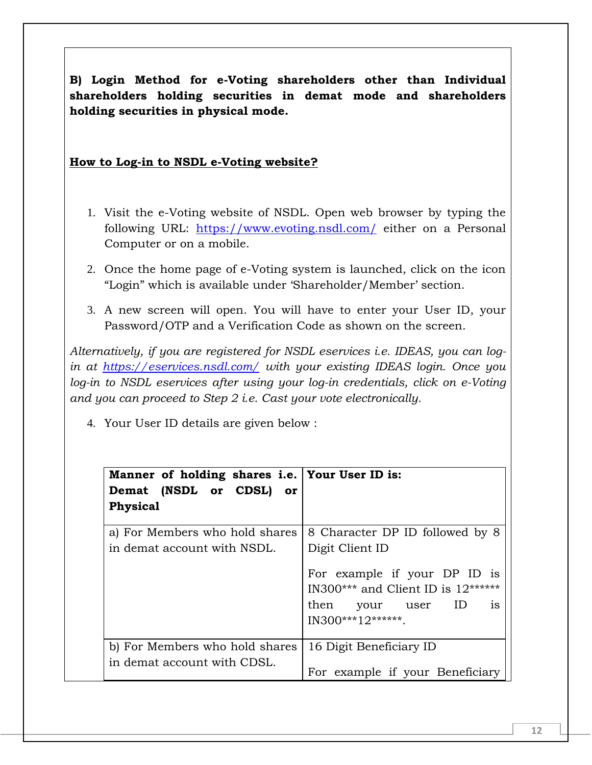**B) Login Method for e-Voting shareholders other than Individual shareholders holding securities in demat mode and shareholders holding securities in physical mode.**

#### **How to Log-in to NSDL e-Voting website?**

- 1. Visit the e-Voting website of NSDL. Open web browser by typing the following URL: <https://www.evoting.nsdl.com/> either on a Personal Computer or on a mobile.
- 2. Once the home page of e-Voting system is launched, click on the icon "Login" which is available under 'Shareholder/Member' section.
- 3. A new screen will open. You will have to enter your User ID, your Password/OTP and a Verification Code as shown on the screen.

*Alternatively, if you are registered for NSDL eservices i.e. IDEAS, you can login at <https://eservices.nsdl.com/> with your existing IDEAS login. Once you log-in to NSDL eservices after using your log-in credentials, click on e-Voting and you can proceed to Step 2 i.e. Cast your vote electronically.*

4. Your User ID details are given below :

| Manner of holding shares i.e.   Your User ID is:<br>Demat (NSDL or CDSL) or<br>Physical |                                                                      |
|-----------------------------------------------------------------------------------------|----------------------------------------------------------------------|
| a) For Members who hold shares                                                          | 8 Character DP ID followed by 8                                      |
| in demat account with NSDL.                                                             | Digit Client ID                                                      |
|                                                                                         | For example if your DP ID is<br>IN300*** and Client ID is $12******$ |
|                                                                                         | then your user ID is                                                 |
|                                                                                         | $IN300***12******$                                                   |
| b) For Members who hold shares                                                          | 16 Digit Beneficiary ID                                              |
| in demat account with CDSL.                                                             |                                                                      |
|                                                                                         | For example if your Beneficiary                                      |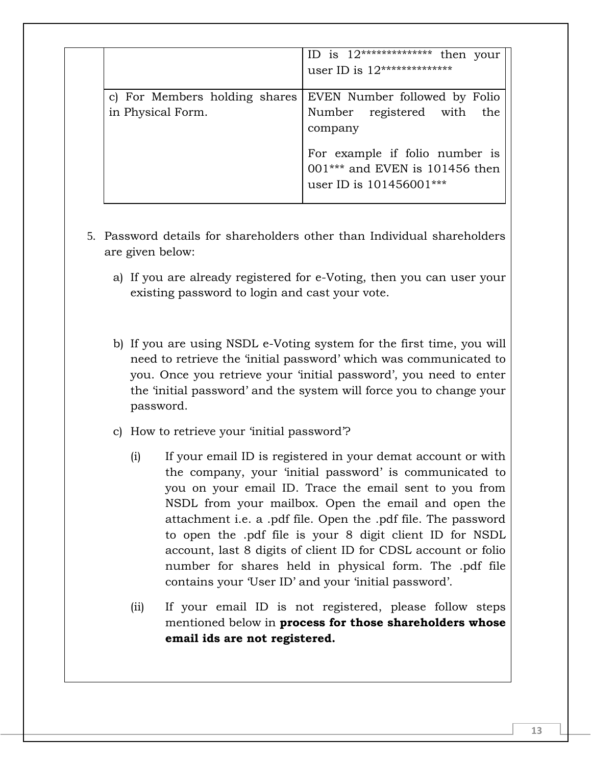|                               | ID is $12****************$<br>then your                                                         |
|-------------------------------|-------------------------------------------------------------------------------------------------|
|                               | user ID is $12****************$                                                                 |
|                               |                                                                                                 |
| c) For Members holding shares | EVEN Number followed by Folio                                                                   |
| in Physical Form.             | Number registered with the                                                                      |
|                               | company                                                                                         |
|                               | For example if folio number is<br>$001***$ and EVEN is 101456 then<br>user ID is $101456001***$ |

- 5. Password details for shareholders other than Individual shareholders are given below:
	- a) If you are already registered for e-Voting, then you can user your existing password to login and cast your vote.
	- b) If you are using NSDL e-Voting system for the first time, you will need to retrieve the 'initial password' which was communicated to you. Once you retrieve your 'initial password', you need to enter the 'initial password' and the system will force you to change your password.
	- c) How to retrieve your 'initial password'?
		- (i) If your email ID is registered in your demat account or with the company, your 'initial password' is communicated to you on your email ID. Trace the email sent to you from NSDL from your mailbox. Open the email and open the attachment i.e. a .pdf file. Open the .pdf file. The password to open the .pdf file is your 8 digit client ID for NSDL account, last 8 digits of client ID for CDSL account or folio number for shares held in physical form. The .pdf file contains your 'User ID' and your 'initial password'.
		- (ii) If your email ID is not registered, please follow steps mentioned below in **process for those shareholders whose email ids are not registered.**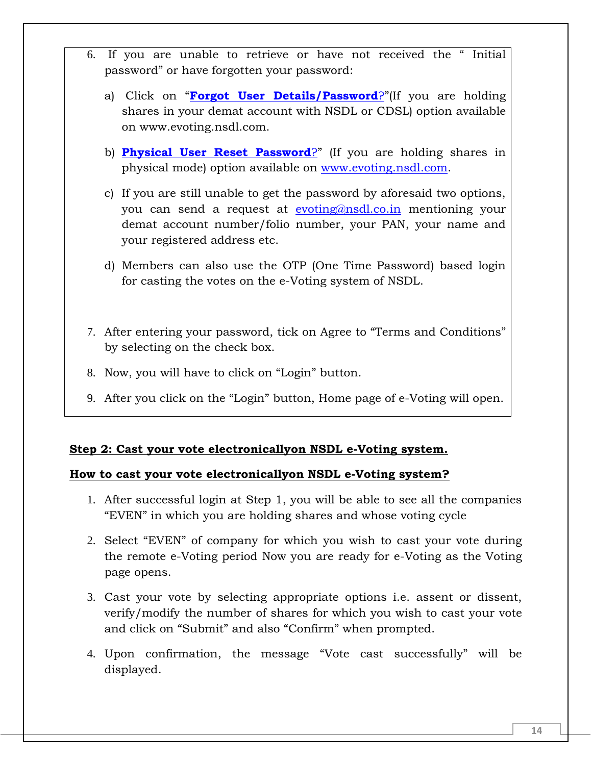- 6. If you are unable to retrieve or have not received the " Initial password" or have forgotten your password:
	- a) Click on "**[Forgot User Details/Password](https://www.evoting.nsdl.com/eVotingWeb/commonhtmls/NewUser.jsp)**?"(If you are holding shares in your demat account with NSDL or CDSL) option available on www.evoting.nsdl.com.
	- b) **[Physical User Reset Password](https://www.evoting.nsdl.com/eVotingWeb/commonhtmls/PhysicalUser.jsp)**?" (If you are holding shares in physical mode) option available on [www.evoting.nsdl.com.](http://www.evoting.nsdl.com/)
	- c) If you are still unable to get the password by aforesaid two options, you can send a request at [evoting@nsdl.co.in](mailto:evoting@nsdl.co.in) mentioning your demat account number/folio number, your PAN, your name and your registered address etc.
	- d) Members can also use the OTP (One Time Password) based login for casting the votes on the e-Voting system of NSDL.
- 7. After entering your password, tick on Agree to "Terms and Conditions" by selecting on the check box.
- 8. Now, you will have to click on "Login" button.
- 9. After you click on the "Login" button, Home page of e-Voting will open.

#### **Step 2: Cast your vote electronicallyon NSDL e-Voting system.**

### **How to cast your vote electronicallyon NSDL e-Voting system?**

- 1. After successful login at Step 1, you will be able to see all the companies "EVEN" in which you are holding shares and whose voting cycle
- 2. Select "EVEN" of company for which you wish to cast your vote during the remote e-Voting period Now you are ready for e-Voting as the Voting page opens.
- 3. Cast your vote by selecting appropriate options i.e. assent or dissent, verify/modify the number of shares for which you wish to cast your vote and click on "Submit" and also "Confirm" when prompted.
- 4. Upon confirmation, the message "Vote cast successfully" will be displayed.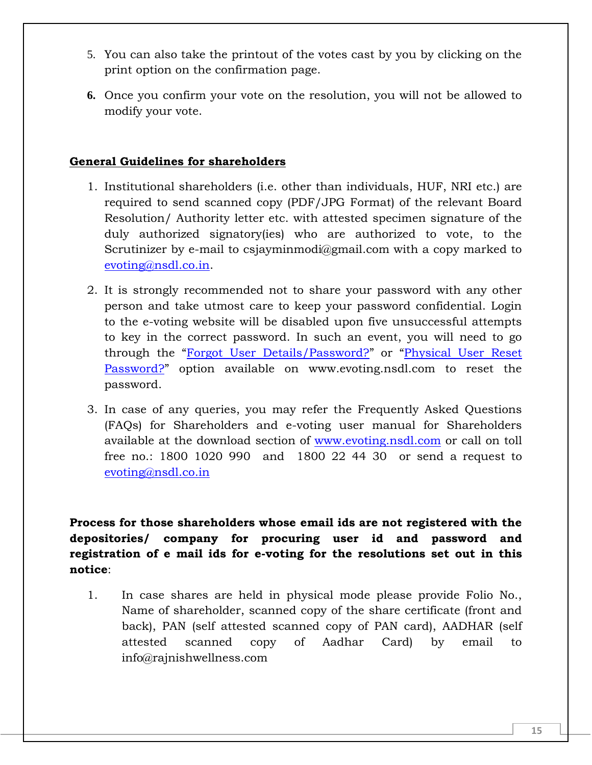- 5. You can also take the printout of the votes cast by you by clicking on the print option on the confirmation page.
- **6.** Once you confirm your vote on the resolution, you will not be allowed to modify your vote.

### **General Guidelines for shareholders**

- 1. Institutional shareholders (i.e. other than individuals, HUF, NRI etc.) are required to send scanned copy (PDF/JPG Format) of the relevant Board Resolution/ Authority letter etc. with attested specimen signature of the duly authorized signatory(ies) who are authorized to vote, to the Scrutinizer by e-mail to csjayminmodi@gmail.com with a copy marked to [evoting@nsdl.co.in.](mailto:evoting@nsdl.co.in)
- 2. It is strongly recommended not to share your password with any other person and take utmost care to keep your password confidential. Login to the e-voting website will be disabled upon five unsuccessful attempts to key in the correct password. In such an event, you will need to go through the "[Forgot User Details/Password?](https://www.evoting.nsdl.com/eVotingWeb/commonhtmls/NewUser.jsp)" or "[Physical User Reset](https://www.evoting.nsdl.com/eVotingWeb/commonhtmls/PhysicalUser.jsp)  [Password?](https://www.evoting.nsdl.com/eVotingWeb/commonhtmls/PhysicalUser.jsp)" option available on www.evoting.nsdl.com to reset the password.
- 3. In case of any queries, you may refer the Frequently Asked Questions (FAQs) for Shareholders and e-voting user manual for Shareholders available at the download section of [www.evoting.nsdl.com](http://www.evoting.nsdl.com/) or call on toll free no.: 1800 1020 990 and 1800 22 44 30 or send a request to [evoting@nsdl.co.in](mailto:evoting@nsdl.co.in)

**Process for those shareholders whose email ids are not registered with the depositories/ company for procuring user id and password and registration of e mail ids for e-voting for the resolutions set out in this notice**:

1. In case shares are held in physical mode please provide Folio No., Name of shareholder, scanned copy of the share certificate (front and back), PAN (self attested scanned copy of PAN card), AADHAR (self attested scanned copy of Aadhar Card) by email to info@rajnishwellness.com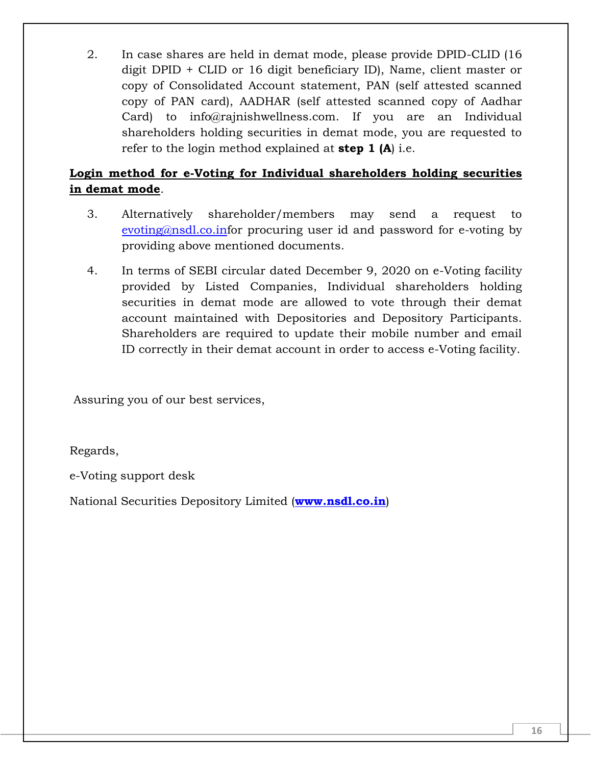2. In case shares are held in demat mode, please provide DPID-CLID (16 digit DPID + CLID or 16 digit beneficiary ID), Name, client master or copy of Consolidated Account statement, PAN (self attested scanned copy of PAN card), AADHAR (self attested scanned copy of Aadhar Card) to info@rajnishwellness.com. If you are an Individual shareholders holding securities in demat mode, you are requested to refer to the login method explained at **step 1 (A**) i.e.

# **Login method for e-Voting for Individual shareholders holding securities in demat mode**.

- 3. Alternatively shareholder/members may send a request to [evoting@nsdl.co.inf](mailto:evoting@nsdl.co.in)or procuring user id and password for e-voting by providing above mentioned documents.
- 4. In terms of SEBI circular dated December 9, 2020 on e-Voting facility provided by Listed Companies, Individual shareholders holding securities in demat mode are allowed to vote through their demat account maintained with Depositories and Depository Participants. Shareholders are required to update their mobile number and email ID correctly in their demat account in order to access e-Voting facility.

Assuring you of our best services,

Regards,

e-Voting support desk

National Securities Depository Limited (**[www.nsdl.co.in](http://www.nsdl.co.in/)**)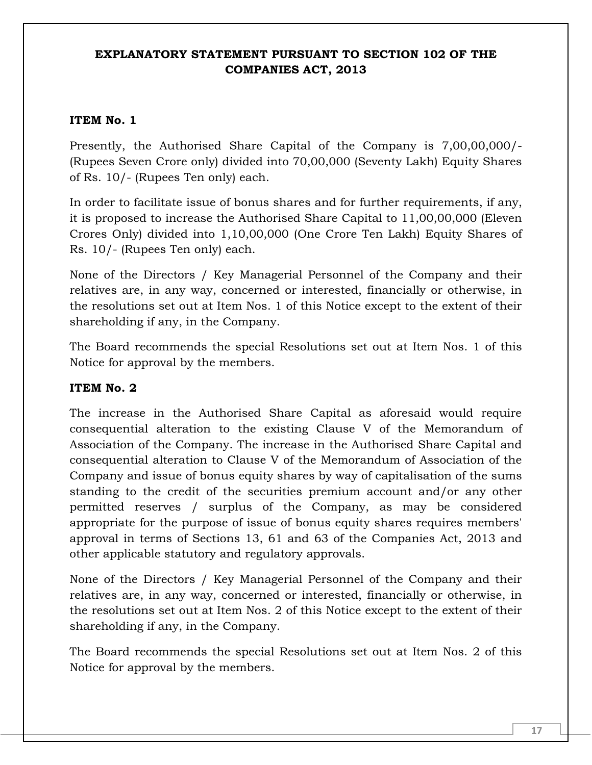### **EXPLANATORY STATEMENT PURSUANT TO SECTION 102 OF THE COMPANIES ACT, 2013**

### **ITEM No. 1**

Presently, the Authorised Share Capital of the Company is 7,00,00,000/- (Rupees Seven Crore only) divided into 70,00,000 (Seventy Lakh) Equity Shares of Rs. 10/- (Rupees Ten only) each.

In order to facilitate issue of bonus shares and for further requirements, if any, it is proposed to increase the Authorised Share Capital to 11,00,00,000 (Eleven Crores Only) divided into 1,10,00,000 (One Crore Ten Lakh) Equity Shares of Rs. 10/- (Rupees Ten only) each.

None of the Directors / Key Managerial Personnel of the Company and their relatives are, in any way, concerned or interested, financially or otherwise, in the resolutions set out at Item Nos. 1 of this Notice except to the extent of their shareholding if any, in the Company.

The Board recommends the special Resolutions set out at Item Nos. 1 of this Notice for approval by the members.

### **ITEM No. 2**

The increase in the Authorised Share Capital as aforesaid would require consequential alteration to the existing Clause V of the Memorandum of Association of the Company. The increase in the Authorised Share Capital and consequential alteration to Clause V of the Memorandum of Association of the Company and issue of bonus equity shares by way of capitalisation of the sums standing to the credit of the securities premium account and/or any other permitted reserves / surplus of the Company, as may be considered appropriate for the purpose of issue of bonus equity shares requires members' approval in terms of Sections 13, 61 and 63 of the Companies Act, 2013 and other applicable statutory and regulatory approvals.

None of the Directors / Key Managerial Personnel of the Company and their relatives are, in any way, concerned or interested, financially or otherwise, in the resolutions set out at Item Nos. 2 of this Notice except to the extent of their shareholding if any, in the Company.

The Board recommends the special Resolutions set out at Item Nos. 2 of this Notice for approval by the members.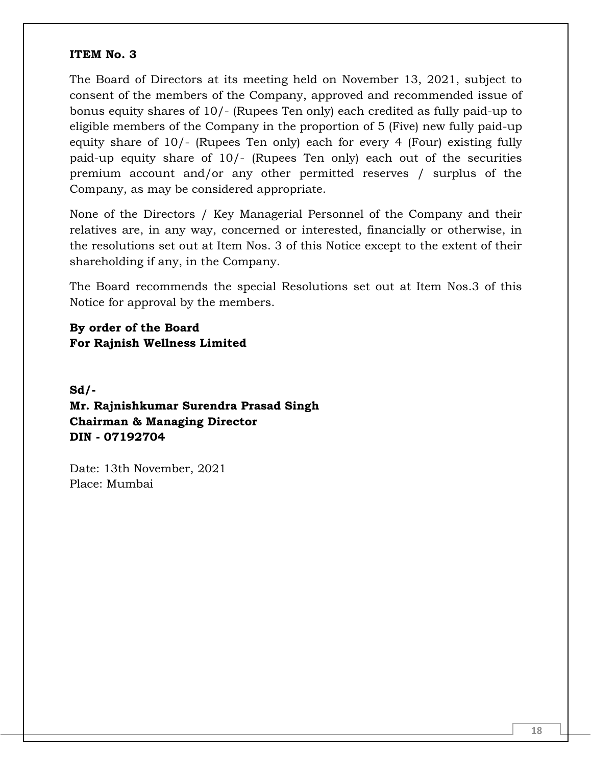#### **ITEM No. 3**

The Board of Directors at its meeting held on November 13, 2021, subject to consent of the members of the Company, approved and recommended issue of bonus equity shares of 10/- (Rupees Ten only) each credited as fully paid-up to eligible members of the Company in the proportion of 5 (Five) new fully paid-up equity share of 10/- (Rupees Ten only) each for every 4 (Four) existing fully paid-up equity share of 10/- (Rupees Ten only) each out of the securities premium account and/or any other permitted reserves / surplus of the Company, as may be considered appropriate.

None of the Directors / Key Managerial Personnel of the Company and their relatives are, in any way, concerned or interested, financially or otherwise, in the resolutions set out at Item Nos. 3 of this Notice except to the extent of their shareholding if any, in the Company.

The Board recommends the special Resolutions set out at Item Nos.3 of this Notice for approval by the members.

**By order of the Board For Rajnish Wellness Limited**

**Sd/- Mr. Rajnishkumar Surendra Prasad Singh Chairman & Managing Director DIN - 07192704**

Date: 13th November, 2021 Place: Mumbai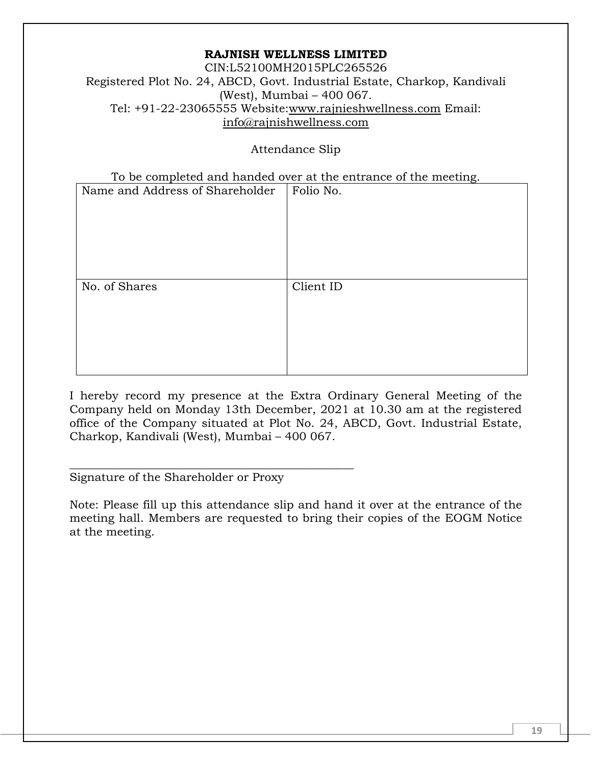CIN:L52100MH2015PLC265526 Registered Plot No. 24, ABCD, Govt. Industrial Estate, Charkop, Kandivali (West), Mumbai – 400 067. Tel: +91-22-23065555 Website[:www.rajnieshwellness.com](http://www.rajnieshwellness.com/) Email: [info@rajnishwellness.com](mailto:info@rajnishwellness.com)

Attendance Slip

To be completed and handed over at the entrance of the meeting.

| Name and Address of Shareholder | Folio No. |
|---------------------------------|-----------|
| No. of Shares                   | Client ID |
|                                 |           |
|                                 |           |

I hereby record my presence at the Extra Ordinary General Meeting of the Company held on Monday 13th December, 2021 at 10.30 am at the registered office of the Company situated at Plot No. 24, ABCD, Govt. Industrial Estate, Charkop, Kandivali (West), Mumbai – 400 067.

Signature of the Shareholder or Proxy

\_\_\_\_\_\_\_\_\_\_\_\_\_\_\_\_\_\_\_\_\_\_\_\_\_\_\_\_\_\_\_\_\_\_\_\_\_\_\_\_\_\_\_\_\_\_\_\_\_

Note: Please fill up this attendance slip and hand it over at the entrance of the meeting hall. Members are requested to bring their copies of the EOGM Notice at the meeting.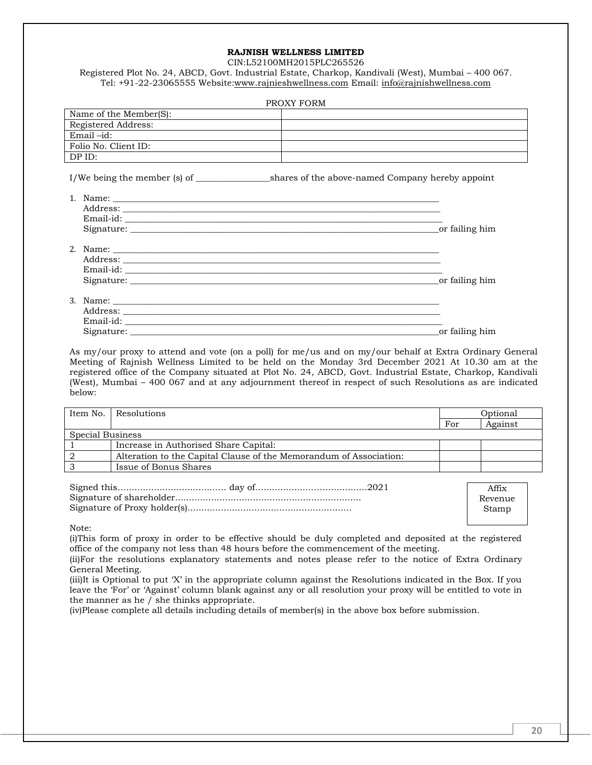CIN:L52100MH2015PLC265526

Registered Plot No. 24, ABCD, Govt. Industrial Estate, Charkop, Kandivali (West), Mumbai – 400 067. Tel: +91-22-23065555 Website[:www.rajnieshwellness.com](http://www.rajnieshwellness.com/) Email: [info@rajnishwellness.com](mailto:info@rajnishwellness.com)

| PROXY FORM             |  |  |  |
|------------------------|--|--|--|
| Name of the Member(S): |  |  |  |
| Registered Address:    |  |  |  |
| $Email -id:$           |  |  |  |
| Folio No. Client ID:   |  |  |  |
| DP ID:                 |  |  |  |
|                        |  |  |  |

I/We being the member (s) of \_\_\_\_\_\_\_\_\_\_\_\_\_\_\_\_\_shares of the above-named Company hereby appoint

| Name:<br>1.                                                                                                                                                                                                                                                   | _or failing him |
|---------------------------------------------------------------------------------------------------------------------------------------------------------------------------------------------------------------------------------------------------------------|-----------------|
| 2 <sub>1</sub><br>Email-id: the contract of the contract of the contract of the contract of the contract of the contract of the contract of the contract of the contract of the contract of the contract of the contract of the contract of the<br>Signature: | or failing him  |

| 3. Name:   |                |
|------------|----------------|
| Address:   |                |
| Email-id:  |                |
| Signature: | or failing him |

As my/our proxy to attend and vote (on a poll) for me/us and on my/our behalf at Extra Ordinary General Meeting of Rajnish Wellness Limited to be held on the Monday 3rd December 2021 At 10.30 am at the registered office of the Company situated at Plot No. 24, ABCD, Govt. Industrial Estate, Charkop, Kandivali (West), Mumbai – 400 067 and at any adjournment thereof in respect of such Resolutions as are indicated below:

|                  | Item No. Resolutions                                               | Optional |         |
|------------------|--------------------------------------------------------------------|----------|---------|
|                  |                                                                    | For      | Against |
| Special Business |                                                                    |          |         |
|                  | Increase in Authorised Share Capital:                              |          |         |
|                  | Alteration to the Capital Clause of the Memorandum of Association: |          |         |
|                  | Issue of Bonus Shares                                              |          |         |

| Affix   |
|---------|
| Revenue |
| Stamp   |
|         |

Note:

(i)This form of proxy in order to be effective should be duly completed and deposited at the registered office of the company not less than 48 hours before the commencement of the meeting.

(ii)For the resolutions explanatory statements and notes please refer to the notice of Extra Ordinary General Meeting.

(iii)It is Optional to put 'X' in the appropriate column against the Resolutions indicated in the Box. If you leave the 'For' or 'Against' column blank against any or all resolution your proxy will be entitled to vote in the manner as he  $\overline{\phantom{a}}$  she thinks appropriate.

(iv)Please complete all details including details of member(s) in the above box before submission.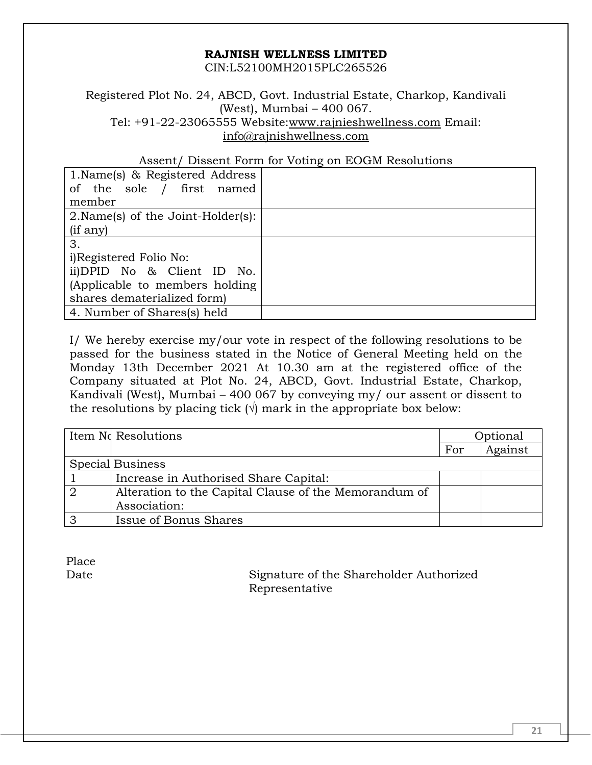CIN:L52100MH2015PLC265526

Registered Plot No. 24, ABCD, Govt. Industrial Estate, Charkop, Kandivali (West), Mumbai – 400 067. Tel: +91-22-23065555 Website[:www.rajnieshwellness.com](http://www.rajnieshwellness.com/) Email: [info@rajnishwellness.com](mailto:info@rajnishwellness.com)

#### Assent/ Dissent Form for Voting on EOGM Resolutions

| 1. Name(s) & Registered Address    |  |
|------------------------------------|--|
| of the sole / first named          |  |
| member                             |  |
| 2. Name(s) of the Joint-Holder(s): |  |
| (i f any)                          |  |
| 3.                                 |  |
| i)Registered Folio No:             |  |
| ii)DPID No & Client ID No.         |  |
| (Applicable to members holding)    |  |
| shares dematerialized form)        |  |
| 4. Number of Shares(s) held        |  |

I/ We hereby exercise my/our vote in respect of the following resolutions to be passed for the business stated in the Notice of General Meeting held on the Monday 13th December 2021 At 10.30 am at the registered office of the Company situated at Plot No. 24, ABCD, Govt. Industrial Estate, Charkop, Kandivali (West), Mumbai – 400 067 by conveying my/ our assent or dissent to the resolutions by placing tick  $(\sqrt{})$  mark in the appropriate box below:

|                  | Item No Resolutions                                   | Optional |         |
|------------------|-------------------------------------------------------|----------|---------|
|                  |                                                       | For      | Against |
| Special Business |                                                       |          |         |
|                  | Increase in Authorised Share Capital:                 |          |         |
|                  | Alteration to the Capital Clause of the Memorandum of |          |         |
|                  | Association:                                          |          |         |
|                  | Issue of Bonus Shares                                 |          |         |

Place

Date Signature of the Shareholder Authorized Representative